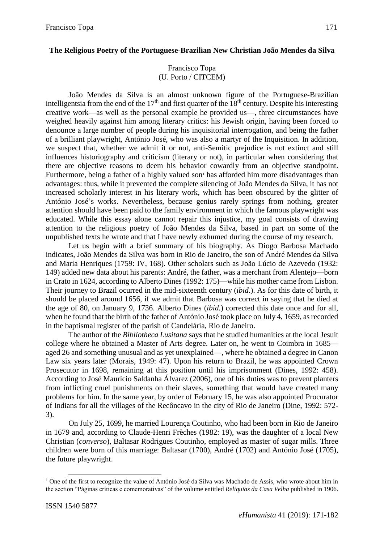### **The Religious Poetry of the Portuguese-Brazilian New Christian João Mendes da Silva**

## Francisco Topa (U. Porto / CITCEM)

João Mendes da Silva is an almost unknown figure of the Portuguese-Brazilian intelligentsia from the end of the  $17<sup>th</sup>$  and first quarter of the  $18<sup>th</sup>$  century. Despite his interesting creative work—as well as the personal example he provided us—, three circumstances have weighed heavily against him among literary critics: his Jewish origin, having been forced to denounce a large number of people during his inquisitorial interrogation, and being the father of a brilliant playwright, António José, who was also a martyr of the Inquisition. In addition, we suspect that, whether we admit it or not, anti-Semitic prejudice is not extinct and still influences historiography and criticism (literary or not), in particular when considering that there are objective reasons to deem his behavior cowardly from an objective standpoint. Furthermore, being a father of a highly valued son<sup>1</sup> has afforded him more disadvantages than advantages: thus, while it prevented the complete silencing of João Mendes da Silva, it has not increased scholarly interest in his literary work, which has been obscured by the glitter of António José's works. Nevertheless, because genius rarely springs from nothing, greater attention should have been paid to the family environment in which the famous playwright was educated. While this essay alone cannot repair this injustice, my goal consists of drawing attention to the religious poetry of João Mendes da Silva, based in part on some of the unpublished texts he wrote and that I have newly exhumed during the course of my research.

Let us begin with a brief summary of his biography. As Diogo Barbosa Machado indicates, João Mendes da Silva was born in Rio de Janeiro, the son of André Mendes da Silva and Maria Henriques (1759: IV, 168). Other scholars such as João Lúcio de Azevedo (1932: 149) added new data about his parents: André, the father, was a merchant from Alentejo—born in Crato in 1624, according to Alberto Dines (1992: 175)—while his mother came from Lisbon. Their journey to Brazil ocurred in the mid-sixteenth century (*ibid.*). As for this date of birth, it should be placed around 1656, if we admit that Barbosa was correct in saying that he died at the age of 80, on January 9, 1736. Alberto Dines (*ibid.*) corrected this date once and for all, when he found that the birth of the father of António José took place on July 4, 1659, as recorded in the baptismal register of the parish of Candelária, Rio de Janeiro.

The author of the *Bibliotheca Lusitana* says that he studied humanities at the local Jesuit college where he obtained a Master of Arts degree. Later on, he went to Coimbra in 1685 aged 26 and something unusual and as yet unexplained—, where he obtained a degree in Canon Law six years later (Morais, 1949: 47). Upon his return to Brazil, he was appointed Crown Prosecutor in 1698, remaining at this position until his imprisonment (Dines, 1992: 458). According to José Maurício Saldanha Álvarez (2006), one of his duties was to prevent planters from inflicting cruel punishments on their slaves, something that would have created many problems for him. In the same year, by order of February 15, he was also appointed Procurator of Indians for all the villages of the Recôncavo in the city of Rio de Janeiro (Dine, 1992: 572- 3).

On July 25, 1699, he married Lourença Coutinho, who had been born in Rio de Janeiro in 1679 and, according to Claude-Henri Frèches (1982: 19), was the daughter of a local New Christian (*converso*), Baltasar Rodrigues Coutinho, employed as master of sugar mills. Three children were born of this marriage: Baltasar (1700), André (1702) and António José (1705), the future playwright.

 $\overline{a}$ 

<sup>&</sup>lt;sup>1</sup> One of the first to recognize the value of António José da Silva was Machado de Assis, who wrote about him in the section "Páginas críticas e comemorativas" of the volume entitled *Relíquias da Casa Velha* published in 1906.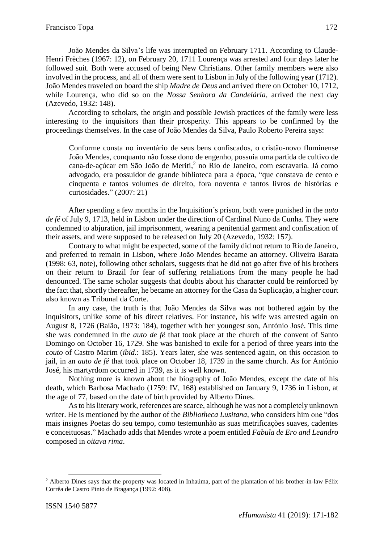João Mendes da Silva's life was interrupted on February 1711. According to Claude-Henri Frèches (1967: 12), on February 20, 1711 Lourença was arrested and four days later he followed suit. Both were accused of being New Christians. Other family members were also involved in the process, and all of them were sent to Lisbon in July of the following year (1712). João Mendes traveled on board the ship *Madre de Deus* and arrived there on October 10, 1712, while Lourença, who did so on the *Nossa Senhora da Candelária*, arrived the next day (Azevedo, 1932: 148).

According to scholars, the origin and possible Jewish practices of the family were less interesting to the inquisitors than their prosperity. This appears to be confirmed by the proceedings themselves. In the case of João Mendes da Silva, Paulo Roberto Pereira says:

Conforme consta no inventário de seus bens confiscados, o cristão-novo fluminense João Mendes, conquanto não fosse dono de engenho, possuía uma partida de cultivo de cana-de-açúcar em São João de Meriti, 2 no Rio de Janeiro, com escravaria. Já como advogado, era possuidor de grande biblioteca para a época, "que constava de cento e cinquenta e tantos volumes de direito, fora noventa e tantos livros de histórias e curiosidades." (2007: 21)

After spending a few months in the Inquisition´s prison, both were punished in the *auto de fé* of July 9, 1713, held in Lisbon under the direction of Cardinal Nuno da Cunha. They were condemned to abjuration, jail imprisonment, wearing a penitential garment and confiscation of their assets, and were supposed to be released on July 20 (Azevedo, 1932: 157).

Contrary to what might be expected, some of the family did not return to Rio de Janeiro, and preferred to remain in Lisbon, where João Mendes became an attorney. Oliveira Barata (1998: 63, note), following other scholars, suggests that he did not go after five of his brothers on their return to Brazil for fear of suffering retaliations from the many people he had denounced. The same scholar suggests that doubts about his character could be reinforced by the fact that, shortly thereafter, he became an attorney for the Casa da Suplicação, a higher court also known as Tribunal da Corte.

In any case, the truth is that João Mendes da Silva was not bothered again by the inquisitors, unlike some of his direct relatives. For instance, his wife was arrested again on August 8, 1726 (Baião, 1973: 184), together with her youngest son, António José. This time she was condemned in the *auto de fé* that took place at the church of the convent of Santo Domingo on October 16, 1729. She was banished to exile for a period of three years into the *couto* of Castro Marim (*ibid.*: 185). Years later, she was sentenced again, on this occasion to jail, in an *auto de fé* that took place on October 18, 1739 in the same church. As for António José, his martyrdom occurred in 1739, as it is well known.

Nothing more is known about the biography of João Mendes, except the date of his death, which Barbosa Machado (1759: IV, 168) established on January 9, 1736 in Lisbon, at the age of 77, based on the date of birth provided by Alberto Dines.

As to his literary work, references are scarce, although he was not a completely unknown writer. He is mentioned by the author of the *Bibliotheca Lusitana*, who considers him one "dos mais insignes Poetas do seu tempo, como testemunhão as suas metrificações suaves, cadentes e conceituosas." Machado adds that Mendes wrote a poem entitled *Fabula de Ero and Leandro* composed in *oitava rima*.

 $\overline{a}$ 

<sup>&</sup>lt;sup>2</sup> Alberto Dines says that the property was located in Inhaúma, part of the plantation of his brother-in-law Félix Corrêa de Castro Pinto de Bragança (1992: 408).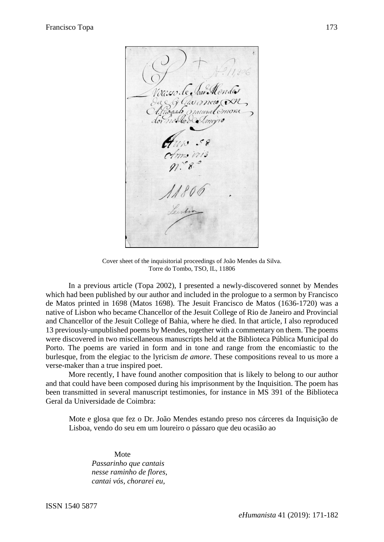resoa

Cover sheet of the inquisitorial proceedings of João Mendes da Silva. Torre do Tombo, TSO, IL, 11806

In a previous article (Topa 2002), I presented a newly-discovered sonnet by Mendes which had been published by our author and included in the prologue to a sermon by Francisco de Matos printed in 1698 (Matos 1698). The Jesuit Francisco de Matos (1636-1720) was a native of Lisbon who became Chancellor of the Jesuit College of Rio de Janeiro and Provincial and Chancellor of the Jesuit College of Bahia, where he died. In that article, I also reproduced 13 previously-unpublished poems by Mendes, together with a commentary on them. The poems were discovered in two miscellaneous manuscripts held at the Biblioteca Pública Municipal do Porto. The poems are varied in form and in tone and range from the encomiastic to the burlesque, from the elegiac to the lyricism *de amore*. These compositions reveal to us more a verse-maker than a true inspired poet.

More recently, I have found another composition that is likely to belong to our author and that could have been composed during his imprisonment by the Inquisition. The poem has been transmitted in several manuscript testimonies, for instance in MS 391 of the Biblioteca Geral da Universidade de Coimbra:

Mote e glosa que fez o Dr. João Mendes estando preso nos cárceres da Inquisição de Lisboa, vendo do seu em um loureiro o pássaro que deu ocasião ao

Mote *Passarinho que cantais nesse raminho de flores, cantai vós, chorarei eu,*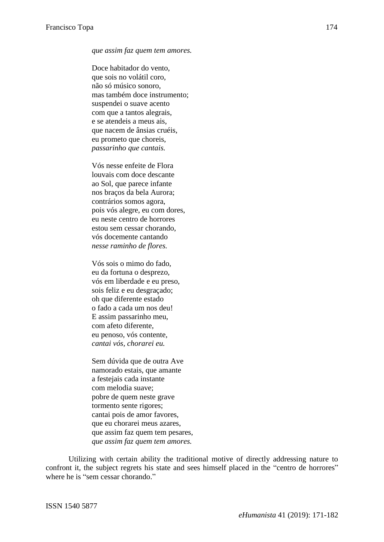#### *que assim faz quem tem amores.*

Doce habitador do vento, que sois no volátil coro, não só músico sonoro, mas também doce instrumento; suspendei o suave acento com que a tantos alegrais, e se atendeis a meus ais, que nacem de ânsias cruéis, eu prometo que choreis, *passarinho que cantais.*

Vós nesse enfeite de Flora louvais com doce descante ao Sol, que parece infante nos braços da bela Aurora; contrários somos agora, pois vós alegre, eu com dores, eu neste centro de horrores estou sem cessar chorando, vós docemente cantando *nesse raminho de flores.*

Vós sois o mimo do fado, eu da fortuna o desprezo, vós em liberdade e eu preso, sois feliz e eu desgraçado; oh que diferente estado o fado a cada um nos deu! E assim passarinho meu, com afeto diferente, eu penoso, vós contente, *cantai vós, chorarei eu.*

Sem dúvida que de outra Ave namorado estais, que amante a festejais cada instante com melodia suave; pobre de quem neste grave tormento sente rigores; cantai pois de amor favores, que eu chorarei meus azares, que assim faz quem tem pesares, *que assim faz quem tem amores.*

Utilizing with certain ability the traditional motive of directly addressing nature to confront it, the subject regrets his state and sees himself placed in the "centro de horrores" where he is "sem cessar chorando."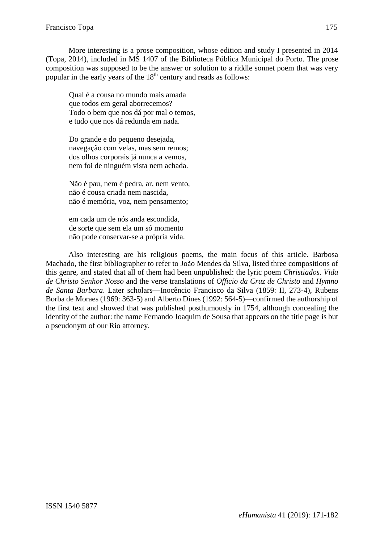More interesting is a prose composition, whose edition and study I presented in 2014 (Topa, 2014), included in MS 1407 of the Biblioteca Pública Municipal do Porto. The prose composition was supposed to be the answer or solution to a riddle sonnet poem that was very popular in the early years of the 18<sup>th</sup> century and reads as follows:

Qual é a cousa no mundo mais amada que todos em geral aborrecemos? Todo o bem que nos dá por mal o temos, e tudo que nos dá redunda em nada.

Do grande e do pequeno desejada, navegação com velas, mas sem remos; dos olhos corporais já nunca a vemos, nem foi de ninguém vista nem achada.

Não é pau, nem é pedra, ar, nem vento, não é cousa criada nem nascida, não é memória, voz, nem pensamento;

em cada um de nós anda escondida, de sorte que sem ela um só momento não pode conservar-se a própria vida.

Also interesting are his religious poems, the main focus of this article. Barbosa Machado, the first bibliographer to refer to João Mendes da Silva, listed three compositions of this genre, and stated that all of them had been unpublished: the lyric poem *Christiados. Vida de Christo Senhor Nosso* and the verse translations of *Officio da Cruz de Christo* and *Hymno de Santa Barbara*. Later scholars—Inocêncio Francisco da Silva (1859: II, 273-4), Rubens Borba de Moraes (1969: 363-5) and Alberto Dines (1992: 564-5)—confirmed the authorship of the first text and showed that was published posthumously in 1754, although concealing the identity of the author: the name Fernando Joaquim de Sousa that appears on the title page is but a pseudonym of our Rio attorney.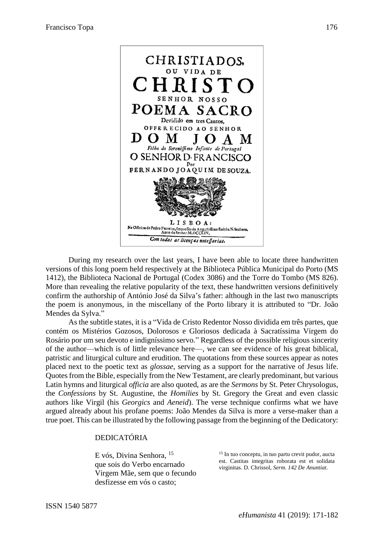

During my research over the last years, I have been able to locate three handwritten versions of this long poem held respectively at the Biblioteca Pública Municipal do Porto (MS 1412), the Biblioteca Nacional de Portugal (Codex 3086) and the Torre do Tombo (MS 826). More than revealing the relative popularity of the text, these handwritten versions definitively confirm the authorship of António José da Silva's father: although in the last two manuscripts the poem is anonymous, in the miscellany of the Porto library it is attributed to "Dr. João Mendes da Sylva."

As the subtitle states, it is a "Vida de Cristo Redentor Nosso dividida em três partes, que contém os Mistérios Gozosos, Dolorosos e Gloriosos dedicada à Sacratíssima Virgem do Rosário por um seu devoto e indigníssimo servo." Regardless of the possible religious sincerity of the author—which is of little relevance here—, we can see evidence of his great biblical, patristic and liturgical culture and erudition. The quotations from these sources appear as notes placed next to the poetic text as *glossae*, serving as a support for the narrative of Jesus life. Quotes from the Bible, especially from the New Testament, are clearly predominant, but various Latin hymns and liturgical *officia* are also quoted, as are the *Sermons* by St. Peter Chrysologus, the *Confessions* by St. Augustine, the *Homilies* by St. Gregory the Great and even classic authors like Virgil (his *Georgics* and *Aeneid*). The verse technique confirms what we have argued already about his profane poems: João Mendes da Silva is more a verse-maker than a true poet. This can be illustrated by the following passage from the beginning of the Dedicatory:

### DEDICATÓRIA

que sois do Verbo encarnado Virgem Mãe, sem que o fecundo desfizesse em vós o casto;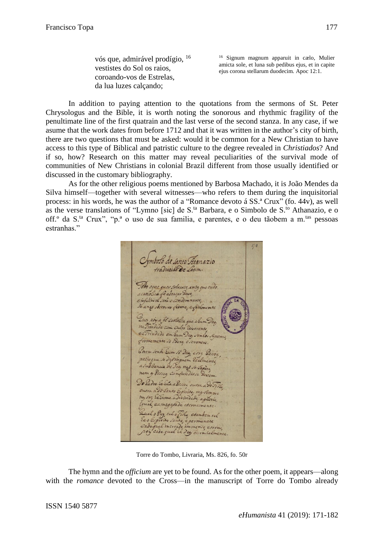coroando-vos de Estrelas, da lua luzes calçando;

vós que, admirável prodígio, <sup>16</sup> <sup>16</sup> Signum magnum apparuit in cælo, Mulier amicta sole, et luna sub pedibus ejus, et in capite vestistes do Sol os raios,<br>
ejus corona stellarum duodecim. Apoc 12:1.

In addition to paying attention to the quotations from the sermons of St. Peter Chrysologus and the Bible, it is worth noting the sonorous and rhythmic fragility of the penultimate line of the first quatrain and the last verse of the second stanza. In any case, if we asume that the work dates from before 1712 and that it was written in the author's city of birth, there are two questions that must be asked: would it be common for a New Christian to have access to this type of Biblical and patristic culture to the degree revealed in *Christiados*? And if so, how? Research on this matter may reveal peculiarities of the survival mode of communities of New Christians in colonial Brazil different from those usually identified or discussed in the customary bibliography.

As for the other religious poems mentioned by Barbosa Machado, it is João Mendes da Silva himself—together with several witnesses—who refers to them during the inquisitorial process: in his words, he was the author of a "Romance devoto á SS.ª Crux" (fo. 44v), as well as the verse translations of "Lymno [sic] de S.<sup>ta</sup> Barbara, e o Simbolo de S.<sup>to</sup> Athanazio, e o off.<sup>°</sup> da S<sup>ta</sup> Crux", "p.<sup>ª</sup> o uso de sua familia, e parentes, e o deu tãobem a m.<sup>tas</sup> pessoas estranhas."

mbolo de santo Atanazio Todo oque quer salvarse ante, que tudo a catiolica fe abraçar deve, Je any observar firme, efilmente Encr soy a fé carlolia que abum Des indade com culto Zeverente. eu Trindade em Euro ceverente firmemente se adore esevenere. Borem vendo Eum 16 Deg, erre Berros, postoque se dijeringuem Leslinente a substancia de Seg nas se Sapara nem a Periog confundivse Devem Do Sadre Ee Eila a Pessoa outra a Do Fillo outra ado Santo Espirito, ma sempre ng tre Lé Euma adivindade agloria igual, eamagestade eternamente. Zual o Bay, talo Filho etamber tal Ee despirito santo, e permanece oy cada qual le Deg enconialmente

Torre do Tombo, Livraria, Ms. 826, fo. 50r

The hymn and the *officium* are yet to be found. As for the other poem, it appears—along with the *romance* devoted to the Cross—in the manuscript of Torre do Tombo already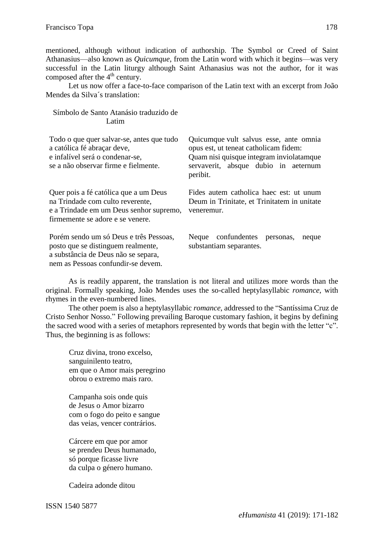mentioned, although without indication of authorship. The Symbol or Creed of Saint Athanasius—also known as *Quicumque*, from the Latin word with which it begins—was very successful in the Latin liturgy although Saint Athanasius was not the author, for it was composed after the  $4<sup>th</sup>$  century.

Let us now offer a face-to-face comparison of the Latin text with an excerpt from João Mendes da Silva´s translation:

| Latim.                                                                                                                                                    |                                                                                                                                                                                 |
|-----------------------------------------------------------------------------------------------------------------------------------------------------------|---------------------------------------------------------------------------------------------------------------------------------------------------------------------------------|
| Todo o que quer salvar-se, antes que tudo<br>a católica fé abraçar deve,<br>e infalível será o condenar-se,<br>se a não observar firme e fielmente.       | Quicumque vult salvus esse, ante omnia<br>opus est, ut teneat catholicam fidem:<br>Quam nisi quisque integram inviolatamque<br>servaverit, absque dubio in aeternum<br>peribit. |
| Quer pois a fé católica que a um Deus<br>na Trindade com culto reverente,<br>e a Trindade em um Deus senhor supremo,<br>firmemente se adore e se venere.  | Fides autem catholica haec est: ut unum<br>Deum in Trinitate, et Trinitatem in unitate<br>veneremur.                                                                            |
| Porém sendo um só Deus e três Pessoas,<br>posto que se distinguem realmente,<br>a substância de Deus não se separa,<br>nem as Pessoas confundir-se devem. | Neque confundentes personas,<br>neque<br>substantiam separantes.                                                                                                                |

As is readily apparent, the translation is not literal and utilizes more words than the original. Formally speaking, João Mendes uses the so-called heptylasyllabic *romance*, with rhymes in the even-numbered lines.

The other poem is also a heptylasyllabic *romance*, addressed to the "Santíssima Cruz de Cristo Senhor Nosso." Following prevailing Baroque customary fashion, it begins by defining the sacred wood with a series of metaphors represented by words that begin with the letter "c". Thus, the beginning is as follows:

Cruz divina, trono excelso, sanguinilento teatro, em que o Amor mais peregrino obrou o extremo mais raro.

Símbolo de Santo Atanásio traduzido de

Campanha sois onde quis de Jesus o Amor bizarro com o fogo do peito e sangue das veias, vencer contrários.

Cárcere em que por amor se prendeu Deus humanado, só porque ficasse livre da culpa o género humano.

Cadeira adonde ditou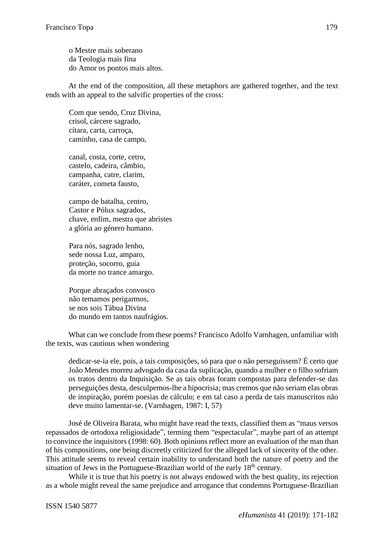o Mestre mais soberano da Teologia mais fina do Amor os pontos mais altos.

At the end of the composition, all these metaphors are gathered together, and the text ends with an appeal to the salvific properties of the cross:

Com que sendo, Cruz Divina, crisol, cárcere sagrado, cítara, carta, carroça, caminho, casa de campo,

canal, costa, corte, cetro, castelo, cadeira, câmbio, campanha, catre, clarim, caráter, cometa fausto,

campo de batalha, centro, Castor e Pólux sagrados, chave, enfim, mestra que abristes a glória ao género humano.

Para nós, sagrado lenho, sede nossa Luz, amparo, proteção, socorro, guia da morte no trance amargo.

Porque abraçados convosco não temamos perigarmos, se nos sois Tábua Divina do mundo em tantos naufrágios.

What can we conclude from these poems? Francisco Adolfo Varnhagen, unfamiliar with the texts, was cautious when wondering

dedicar-se-ia ele, pois, a tais composições, só para que o não perseguissem? É certo que João Mendes morreu advogado da casa da suplicação, quando a mulher e o filho sofriam os tratos dentro da Inquisição. Se as tais obras foram compostas para defender-se das perseguições desta, desculpemos-lhe a hipocrisia; mas cremos que não seriam elas obras de inspiração, porém poesias de cálculo; e em tal caso a perda de tais manuscritos não deve muito lamentar-se. (Varnhagen, 1987: I, 57)

José de Oliveira Barata, who might have read the texts, classified them as "maus versos repassados de ortodoxa religiosidade", terming them "espectacular", maybe part of an attempt to convince the inquisitors (1998: 60). Both opinions reflect more an evaluation of the man than of his compositions, one being discreetly criticized for the alleged lack of sincerity of the other. This attitude seems to reveal certain inability to understand both the nature of poetry and the situation of Jews in the Portuguese-Brazilian world of the early 18<sup>th</sup> century.

While it is true that his poetry is not always endowed with the best quality, its rejection as a whole might reveal the same prejudice and arrogance that condemns Portuguese-Brazilian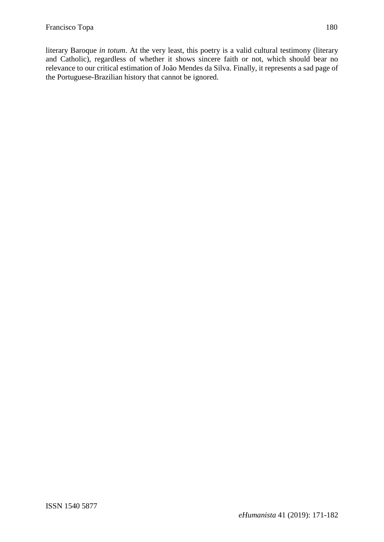literary Baroque *in totum*. At the very least, this poetry is a valid cultural testimony (literary and Catholic), regardless of whether it shows sincere faith or not, which should bear no relevance to our critical estimation of João Mendes da Silva. Finally, it represents a sad page of the Portuguese-Brazilian history that cannot be ignored.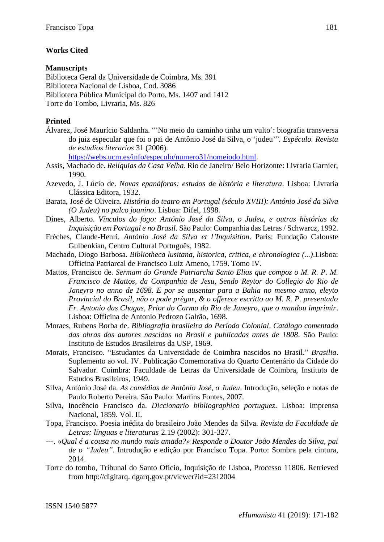# **Works Cited**

### **Manuscripts**

Biblioteca Geral da Universidade de Coimbra, Ms. 391 Biblioteca Nacional de Lisboa, Cod. 3086 Biblioteca Pública Municipal do Porto, Ms. 1407 and 1412 Torre do Tombo, Livraria, Ms. 826

### **Printed**

Álvarez, José Maurício Saldanha. "'No meio do caminho tinha um vulto': biografia transversa do juiz especular que foi o pai de Antônio José da Silva, o 'judeu'". *Espéculo. Revista de estudios literarios* 31 (2006).

[https://webs.ucm.es/info/especulo/numero31/nomeiodo.html.](https://webs.ucm.es/info/especulo/numero31/nomeiodo.html)

- Assis, Machado de. *Relíquias da Casa Velha*. Rio de Janeiro/ Belo Horizonte: Livraria Garnier, 1990.
- Azevedo, J. Lúcio de. *Novas epanáforas: estudos de história e literatura*. Lisboa: Livraria Clássica Editora, 1932.
- Barata, José de Oliveira. *História do teatro em Portugal (século XVIII): António José da Silva (O Judeu) no palco joanino*. Lisboa: Difel, 1998.
- Dines, Alberto. *Vínculos do fogo: António José da Silva, o Judeu, e outras histórias da Inquisição em Portugal e no Brasil*. São Paulo: Companhia das Letras / Schwarcz, 1992.
- Frèches, Claude-Henri. *António José da Silva et l'Inquisition*. Paris: Fundação Calouste Gulbenkian, Centro Cultural Português, 1982.
- Machado, Diogo Barbosa. *Bibliotheca lusitana, historica, critica, e chronologica (...)*.Lisboa: Officina Patriarcal de Francisco Luiz Ameno, 1759. Tomo IV.
- Mattos, Francisco de. *Sermam do Grande Patriarcha Santo Elias que compoz o M. R. P. M. Francisco de Mattos, da Companhia de Jesu, Sendo Reytor do Collegio do Rio de Janeyro no anno de 1698. E por se ausentar para a Bahia no mesmo anno, eleyto Provincial do Brasil, não o pode prègar, & o offerece escritto ao M. R. P. presentado Fr. Antonio das Chagas, Prior do Carmo do Rio de Janeyro, que o mandou imprimir*. Lisboa: Officina de Antonio Pedrozo Galrão, 1698.
- Moraes, Rubens Borba de. *Bibliografia brasileira do Período Colonial*. *Catálogo comentado das obras dos autores nascidos no Brasil e publicadas antes de 1808*. São Paulo: Instituto de Estudos Brasileiros da USP, 1969.
- Morais, Francisco. "Estudantes da Universidade de Coimbra nascidos no Brasil." *Brasilia*. Suplemento ao vol. IV. Publicação Comemorativa do Quarto Centenário da Cidade do Salvador. Coimbra: Faculdade de Letras da Universidade de Coimbra, Instituto de Estudos Brasileiros, 1949.
- Silva, António José da. *As comédias de Antônio José, o Judeu*. Introdução, seleção e notas de Paulo Roberto Pereira. São Paulo: Martins Fontes, 2007.
- Silva, Inocêncio Francisco da. *Diccionario bibliographico portuguez*. Lisboa: Imprensa Nacional, 1859. Vol. II.
- Topa, Francisco. Poesia inédita do brasileiro João Mendes da Silva. *Revista da Faculdade de Letras: línguas e literaturas* 2.19 (2002): 301-327.
- ---. «*Qual é a cousa no mundo mais amada?» Responde o Doutor João Mendes da Silva, pai de o "Judeu"*. Introdução e edição por Francisco Topa. Porto: Sombra pela cintura, 2014.
- Torre do tombo, Tribunal do Santo Ofício, Inquisição de Lisboa, Processo 11806. Retrieved from http://digitarq. dgarq.gov.pt/viewer?id=2312004